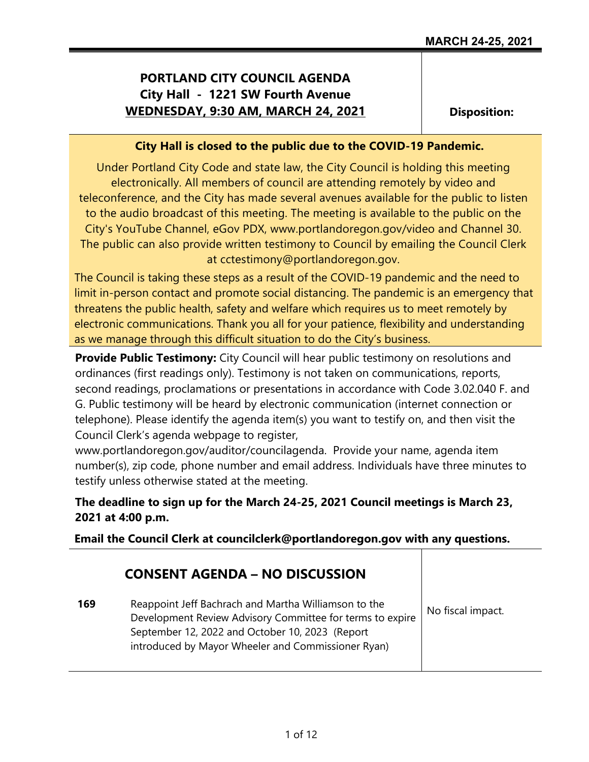# **PORTLAND CITY COUNCIL AGENDA City Hall - 1221 SW Fourth Avenue WEDNESDAY, 9:30 AM, MARCH 24, 2021**

**Disposition:**

### **City Hall is closed to the public due to the COVID-19 Pandemic.**

Under Portland City Code and state law, the City Council is holding this meeting electronically. All members of council are attending remotely by video and teleconference, and the City has made several avenues available for the public to listen to the audio broadcast of this meeting. The meeting is available to the public on the City's YouTube Channel, eGov PDX, www.portlandoregon.gov/video and Channel 30. The public can also provide written testimony to Council by emailing the Council Clerk at cctestimony@portlandoregon.gov.

The Council is taking these steps as a result of the COVID-19 pandemic and the need to limit in-person contact and promote social distancing. The pandemic is an emergency that threatens the public health, safety and welfare which requires us to meet remotely by electronic communications. Thank you all for your patience, flexibility and understanding as we manage through this difficult situation to do the City's business.

**Provide Public Testimony:** City Council will hear public testimony on resolutions and ordinances (first readings only). Testimony is not taken on communications, reports, second readings, proclamations or presentations in accordance with Code 3.02.040 F. and G. Public testimony will be heard by electronic communication (internet connection or telephone). Please identify the agenda item(s) you want to testify on, and then visit the Council Clerk's agenda webpage to register,

www.portlandoregon.gov/auditor/councilagenda. Provide your name, agenda item number(s), zip code, phone number and email address. Individuals have three minutes to testify unless otherwise stated at the meeting.

### **The deadline to sign up for the March 24-25, 2021 Council meetings is March 23, 2021 at 4:00 p.m.**

**Email the Council Clerk at councilclerk@portlandoregon.gov with any questions.**

|     | <b>CONSENT AGENDA – NO DISCUSSION</b>                                                                                                                                                                                      |                   |
|-----|----------------------------------------------------------------------------------------------------------------------------------------------------------------------------------------------------------------------------|-------------------|
| 169 | Reappoint Jeff Bachrach and Martha Williamson to the<br>Development Review Advisory Committee for terms to expire<br>September 12, 2022 and October 10, 2023 (Report<br>introduced by Mayor Wheeler and Commissioner Ryan) | No fiscal impact. |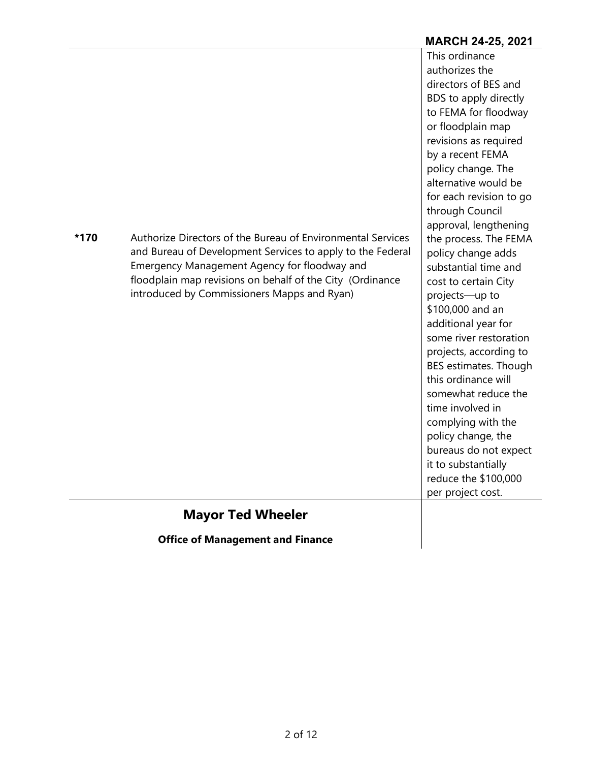|      |                                                                                                                                                                                                                                                                                       | <b>MARCH 24-25, 2021</b>                                                                                                                                                                                                                                                                                                                                                                                                                                                                                                                                                                                                                                                                                                                             |
|------|---------------------------------------------------------------------------------------------------------------------------------------------------------------------------------------------------------------------------------------------------------------------------------------|------------------------------------------------------------------------------------------------------------------------------------------------------------------------------------------------------------------------------------------------------------------------------------------------------------------------------------------------------------------------------------------------------------------------------------------------------------------------------------------------------------------------------------------------------------------------------------------------------------------------------------------------------------------------------------------------------------------------------------------------------|
| *170 | Authorize Directors of the Bureau of Environmental Services<br>and Bureau of Development Services to apply to the Federal<br>Emergency Management Agency for floodway and<br>floodplain map revisions on behalf of the City (Ordinance<br>introduced by Commissioners Mapps and Ryan) | This ordinance<br>authorizes the<br>directors of BES and<br>BDS to apply directly<br>to FEMA for floodway<br>or floodplain map<br>revisions as required<br>by a recent FEMA<br>policy change. The<br>alternative would be<br>for each revision to go<br>through Council<br>approval, lengthening<br>the process. The FEMA<br>policy change adds<br>substantial time and<br>cost to certain City<br>projects-up to<br>\$100,000 and an<br>additional year for<br>some river restoration<br>projects, according to<br>BES estimates. Though<br>this ordinance will<br>somewhat reduce the<br>time involved in<br>complying with the<br>policy change, the<br>bureaus do not expect<br>it to substantially<br>reduce the \$100,000<br>per project cost. |
|      | <b>Mayor Ted Wheeler</b>                                                                                                                                                                                                                                                              |                                                                                                                                                                                                                                                                                                                                                                                                                                                                                                                                                                                                                                                                                                                                                      |

**Office of Management and Finance**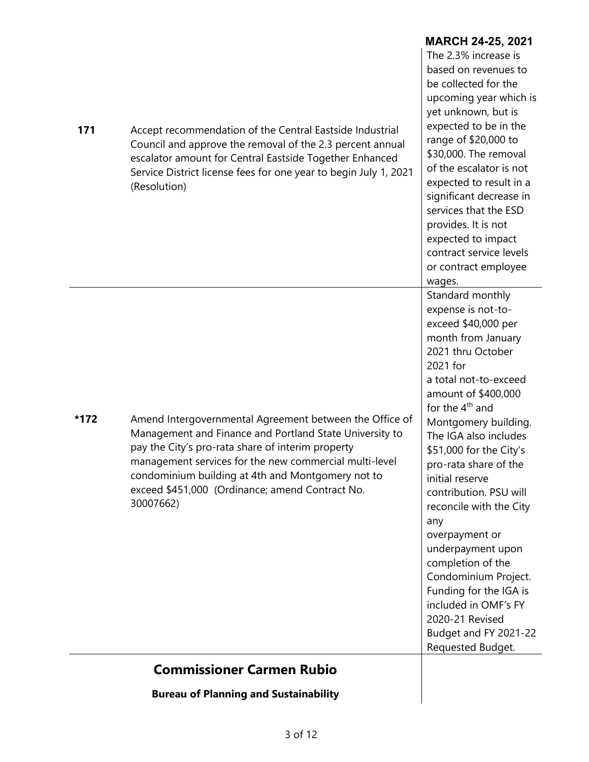|      | <b>Bureau of Planning and Sustainability</b>                                                                                                                                                                                                                                                                                                           |                                                                                                                                                                                                                                                                                                                                                                                                                                                                                                                                                                                      |
|------|--------------------------------------------------------------------------------------------------------------------------------------------------------------------------------------------------------------------------------------------------------------------------------------------------------------------------------------------------------|--------------------------------------------------------------------------------------------------------------------------------------------------------------------------------------------------------------------------------------------------------------------------------------------------------------------------------------------------------------------------------------------------------------------------------------------------------------------------------------------------------------------------------------------------------------------------------------|
|      | <b>Commissioner Carmen Rubio</b>                                                                                                                                                                                                                                                                                                                       |                                                                                                                                                                                                                                                                                                                                                                                                                                                                                                                                                                                      |
| *172 | Amend Intergovernmental Agreement between the Office of<br>Management and Finance and Portland State University to<br>pay the City's pro-rata share of interim property<br>management services for the new commercial multi-level<br>condominium building at 4th and Montgomery not to<br>exceed \$451,000 (Ordinance; amend Contract No.<br>30007662) | Standard monthly<br>expense is not-to-<br>exceed \$40,000 per<br>month from January<br>2021 thru October<br>2021 for<br>a total not-to-exceed<br>amount of \$400,000<br>for the $4th$ and<br>Montgomery building.<br>The IGA also includes<br>\$51,000 for the City's<br>pro-rata share of the<br>initial reserve<br>contribution. PSU will<br>reconcile with the City<br>any<br>overpayment or<br>underpayment upon<br>completion of the<br>Condominium Project.<br>Funding for the IGA is<br>included in OMF's FY<br>2020-21 Revised<br>Budget and FY 2021-22<br>Requested Budget. |
| 171  | Accept recommendation of the Central Eastside Industrial<br>Council and approve the removal of the 2.3 percent annual<br>escalator amount for Central Eastside Together Enhanced<br>Service District license fees for one year to begin July 1, 2021<br>(Resolution)                                                                                   | The 2.3% increase is<br>based on revenues to<br>be collected for the<br>upcoming year which is<br>yet unknown, but is<br>expected to be in the<br>range of \$20,000 to<br>\$30,000. The removal<br>of the escalator is not<br>expected to result in a<br>significant decrease in<br>services that the ESD<br>provides. It is not<br>expected to impact<br>contract service levels<br>or contract employee<br>wages.                                                                                                                                                                  |

**MARCH 24-25, 2021**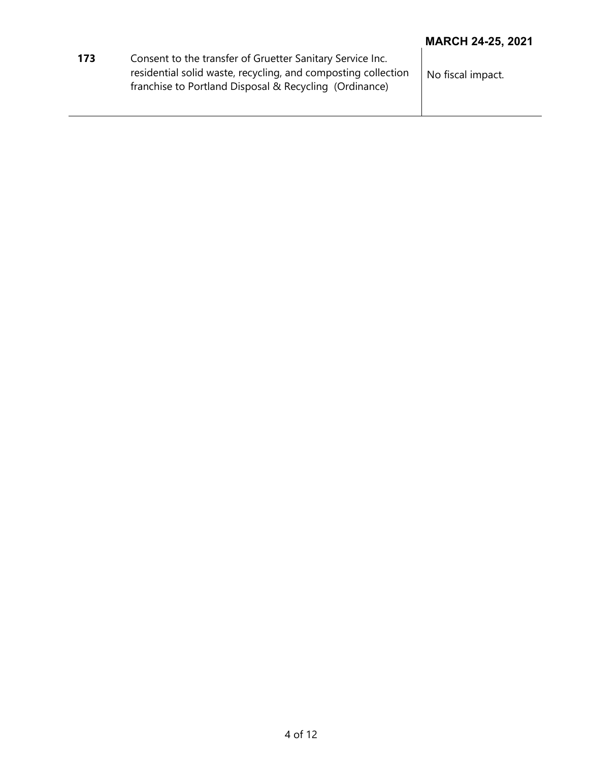|     |                                                                                                                                                                                      | <b>MARCH 24-25, 2021</b> |
|-----|--------------------------------------------------------------------------------------------------------------------------------------------------------------------------------------|--------------------------|
| 173 | Consent to the transfer of Gruetter Sanitary Service Inc.<br>residential solid waste, recycling, and composting collection<br>franchise to Portland Disposal & Recycling (Ordinance) | No fiscal impact.        |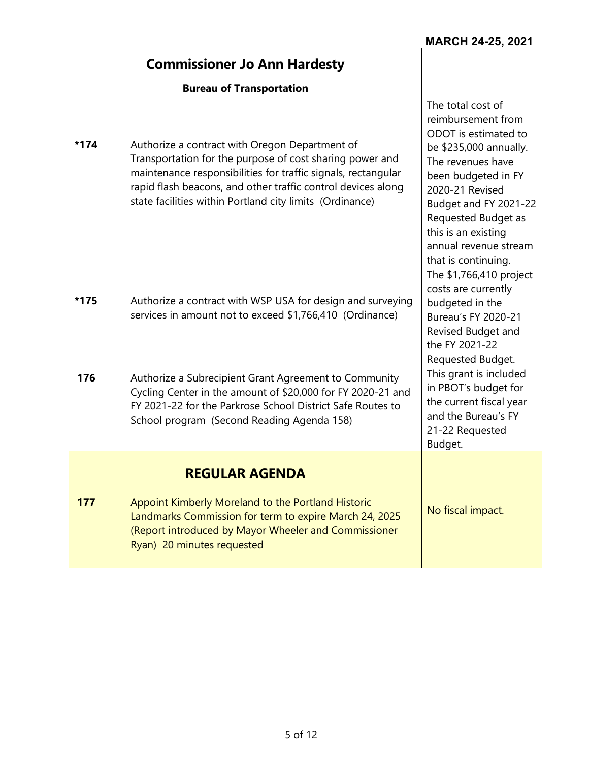|      | <b>Commissioner Jo Ann Hardesty</b>                                                                                                                                                                                                                                                                     |                                                                                                                                                                                                                                                                                 |
|------|---------------------------------------------------------------------------------------------------------------------------------------------------------------------------------------------------------------------------------------------------------------------------------------------------------|---------------------------------------------------------------------------------------------------------------------------------------------------------------------------------------------------------------------------------------------------------------------------------|
|      | <b>Bureau of Transportation</b>                                                                                                                                                                                                                                                                         |                                                                                                                                                                                                                                                                                 |
| *174 | Authorize a contract with Oregon Department of<br>Transportation for the purpose of cost sharing power and<br>maintenance responsibilities for traffic signals, rectangular<br>rapid flash beacons, and other traffic control devices along<br>state facilities within Portland city limits (Ordinance) | The total cost of<br>reimbursement from<br>ODOT is estimated to<br>be \$235,000 annually.<br>The revenues have<br>been budgeted in FY<br>2020-21 Revised<br>Budget and FY 2021-22<br>Requested Budget as<br>this is an existing<br>annual revenue stream<br>that is continuing. |
| *175 | Authorize a contract with WSP USA for design and surveying<br>services in amount not to exceed \$1,766,410 (Ordinance)                                                                                                                                                                                  | The \$1,766,410 project<br>costs are currently<br>budgeted in the<br>Bureau's FY 2020-21<br>Revised Budget and<br>the FY 2021-22<br>Requested Budget.                                                                                                                           |
| 176  | Authorize a Subrecipient Grant Agreement to Community<br>Cycling Center in the amount of \$20,000 for FY 2020-21 and<br>FY 2021-22 for the Parkrose School District Safe Routes to<br>School program (Second Reading Agenda 158)                                                                        | This grant is included<br>in PBOT's budget for<br>the current fiscal year<br>and the Bureau's FY<br>21-22 Requested<br>Budget.                                                                                                                                                  |
|      | <b>REGULAR AGENDA</b>                                                                                                                                                                                                                                                                                   |                                                                                                                                                                                                                                                                                 |
| 177  | Appoint Kimberly Moreland to the Portland Historic<br>Landmarks Commission for term to expire March 24, 2025<br>(Report introduced by Mayor Wheeler and Commissioner<br>Ryan) 20 minutes requested                                                                                                      | No fiscal impact.                                                                                                                                                                                                                                                               |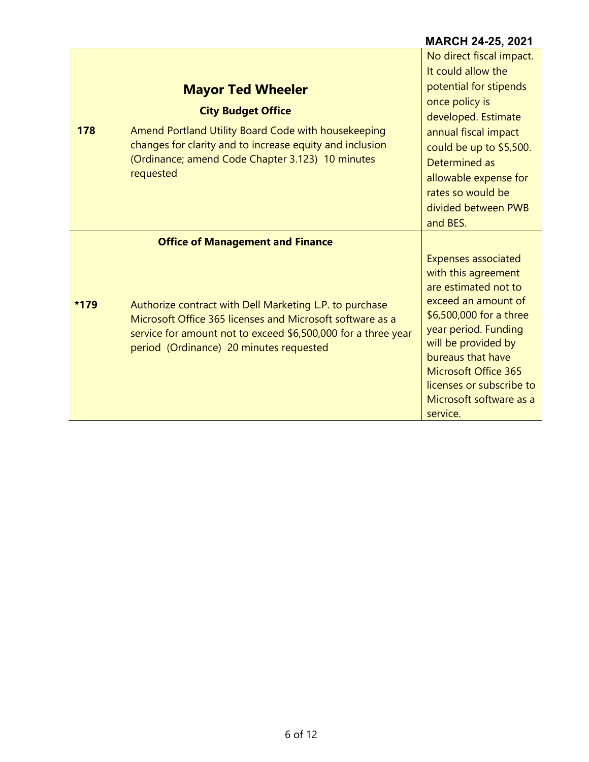|      |                                                                                                                                                                                                                                           | <b>MARCH 24-25, 2021</b>                                                                                                                                                                                                                                                                          |
|------|-------------------------------------------------------------------------------------------------------------------------------------------------------------------------------------------------------------------------------------------|---------------------------------------------------------------------------------------------------------------------------------------------------------------------------------------------------------------------------------------------------------------------------------------------------|
| 178  | <b>Mayor Ted Wheeler</b><br><b>City Budget Office</b><br>Amend Portland Utility Board Code with housekeeping<br>changes for clarity and to increase equity and inclusion<br>(Ordinance; amend Code Chapter 3.123) 10 minutes<br>requested | No direct fiscal impact.<br>It could allow the<br>potential for stipends<br>once policy is<br>developed. Estimate<br>annual fiscal impact<br>could be up to \$5,500.<br>Determined as<br>allowable expense for<br>rates so would be<br>divided between PWB<br>and BES.                            |
|      | <b>Office of Management and Finance</b>                                                                                                                                                                                                   |                                                                                                                                                                                                                                                                                                   |
| *179 | Authorize contract with Dell Marketing L.P. to purchase<br>Microsoft Office 365 licenses and Microsoft software as a<br>service for amount not to exceed \$6,500,000 for a three year<br>period (Ordinance) 20 minutes requested          | <b>Expenses associated</b><br>with this agreement<br>are estimated not to<br>exceed an amount of<br>\$6,500,000 for a three<br>year period. Funding<br>will be provided by<br>bureaus that have<br><b>Microsoft Office 365</b><br>licenses or subscribe to<br>Microsoft software as a<br>service. |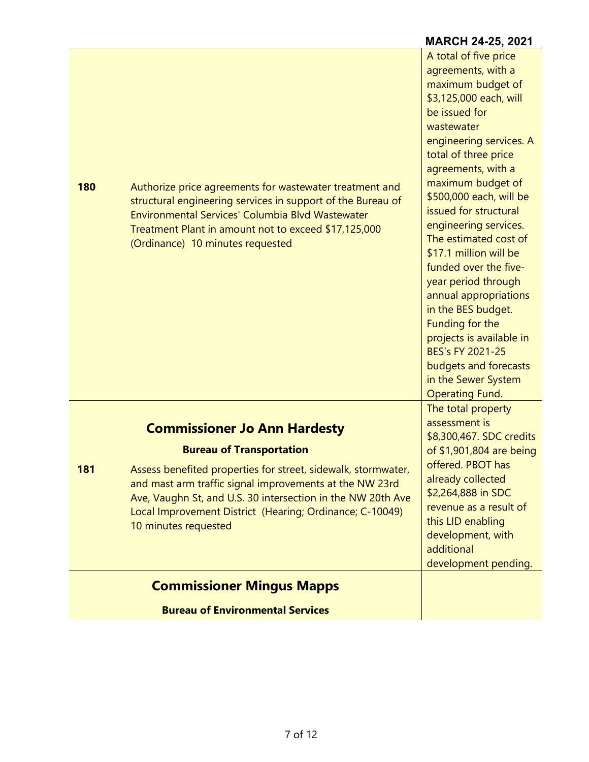|     |                                                                                                                                                                                                                                                                                                                                                       | <b>MARCH 24-25, 2021</b>                                                                                                                                                                                                                                                                                                                                                                                                                                                                                                                                                                                   |
|-----|-------------------------------------------------------------------------------------------------------------------------------------------------------------------------------------------------------------------------------------------------------------------------------------------------------------------------------------------------------|------------------------------------------------------------------------------------------------------------------------------------------------------------------------------------------------------------------------------------------------------------------------------------------------------------------------------------------------------------------------------------------------------------------------------------------------------------------------------------------------------------------------------------------------------------------------------------------------------------|
| 180 | Authorize price agreements for wastewater treatment and<br>structural engineering services in support of the Bureau of<br>Environmental Services' Columbia Blvd Wastewater<br>Treatment Plant in amount not to exceed \$17,125,000<br>(Ordinance) 10 minutes requested                                                                                | A total of five price<br>agreements, with a<br>maximum budget of<br>\$3,125,000 each, will<br>be issued for<br>wastewater<br>engineering services. A<br>total of three price<br>agreements, with a<br>maximum budget of<br>\$500,000 each, will be<br>issued for structural<br>engineering services.<br>The estimated cost of<br>\$17.1 million will be<br>funded over the five-<br>year period through<br>annual appropriations<br>in the BES budget.<br>Funding for the<br>projects is available in<br><b>BES's FY 2021-25</b><br>budgets and forecasts<br>in the Sewer System<br><b>Operating Fund.</b> |
| 181 | <b>Commissioner Jo Ann Hardesty</b><br><b>Bureau of Transportation</b><br>Assess benefited properties for street, sidewalk, stormwater,<br>and mast arm traffic signal improvements at the NW 23rd<br>Ave, Vaughn St, and U.S. 30 intersection in the NW 20th Ave<br>Local Improvement District (Hearing; Ordinance; C-10049)<br>10 minutes requested | The total property<br>assessment is<br>\$8,300,467. SDC credits<br>of \$1,901,804 are being<br>offered. PBOT has<br>already collected<br>\$2,264,888 in SDC<br>revenue as a result of<br>this LID enabling<br>development, with<br>additional<br>development pending.                                                                                                                                                                                                                                                                                                                                      |
|     | <b>Commissioner Mingus Mapps</b>                                                                                                                                                                                                                                                                                                                      |                                                                                                                                                                                                                                                                                                                                                                                                                                                                                                                                                                                                            |
|     | <b>Bureau of Environmental Services</b>                                                                                                                                                                                                                                                                                                               |                                                                                                                                                                                                                                                                                                                                                                                                                                                                                                                                                                                                            |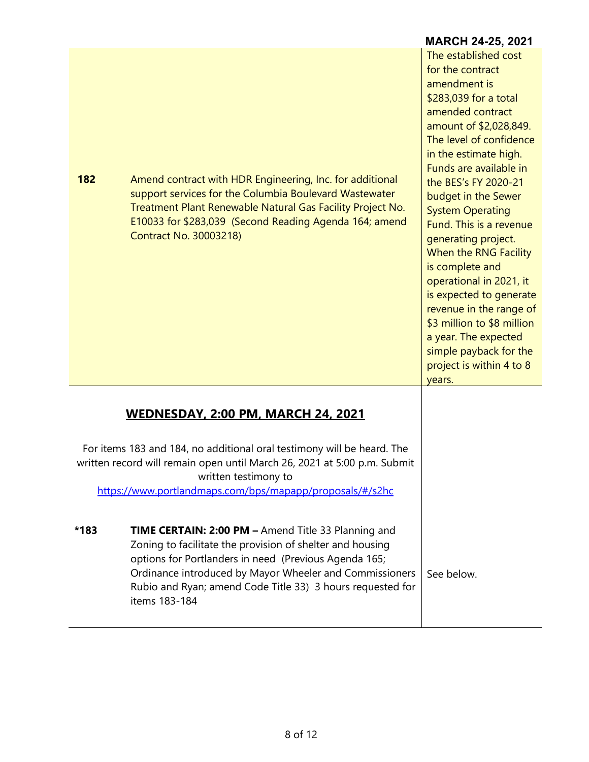|      |                                                                                                                                                                                                                                                                                                           | <b>MARCH 24-25, 2021</b>                                                                                                                                                                                                                                                                                                                                                                                                                                                                                                                                                                     |
|------|-----------------------------------------------------------------------------------------------------------------------------------------------------------------------------------------------------------------------------------------------------------------------------------------------------------|----------------------------------------------------------------------------------------------------------------------------------------------------------------------------------------------------------------------------------------------------------------------------------------------------------------------------------------------------------------------------------------------------------------------------------------------------------------------------------------------------------------------------------------------------------------------------------------------|
| 182  | Amend contract with HDR Engineering, Inc. for additional<br>support services for the Columbia Boulevard Wastewater<br>Treatment Plant Renewable Natural Gas Facility Project No.<br>E10033 for \$283,039 (Second Reading Agenda 164; amend<br><b>Contract No. 30003218)</b>                               | The established cost<br>for the contract<br>amendment is<br>\$283,039 for a total<br>amended contract<br>amount of \$2,028,849.<br>The level of confidence<br>in the estimate high.<br>Funds are available in<br>the BES's FY 2020-21<br>budget in the Sewer<br><b>System Operating</b><br>Fund. This is a revenue<br>generating project.<br>When the RNG Facility<br>is complete and<br>operational in 2021, it<br>is expected to generate<br>revenue in the range of<br>\$3 million to \$8 million<br>a year. The expected<br>simple payback for the<br>project is within 4 to 8<br>years. |
|      | <b>WEDNESDAY, 2:00 PM, MARCH 24, 2021</b>                                                                                                                                                                                                                                                                 |                                                                                                                                                                                                                                                                                                                                                                                                                                                                                                                                                                                              |
|      | For items 183 and 184, no additional oral testimony will be heard. The<br>written record will remain open until March 26, 2021 at 5:00 p.m. Submit<br>written testimony to<br>https://www.portlandmaps.com/bps/mapapp/proposals/#/s2hc                                                                    |                                                                                                                                                                                                                                                                                                                                                                                                                                                                                                                                                                                              |
| *183 | <b>TIME CERTAIN: 2:00 PM - Amend Title 33 Planning and</b><br>Zoning to facilitate the provision of shelter and housing<br>options for Portlanders in need (Previous Agenda 165;<br>Ordinance introduced by Mayor Wheeler and Commissioners<br>Rubio and Ryan; amend Code Title 33) 3 hours requested for | See below.                                                                                                                                                                                                                                                                                                                                                                                                                                                                                                                                                                                   |

items 183-184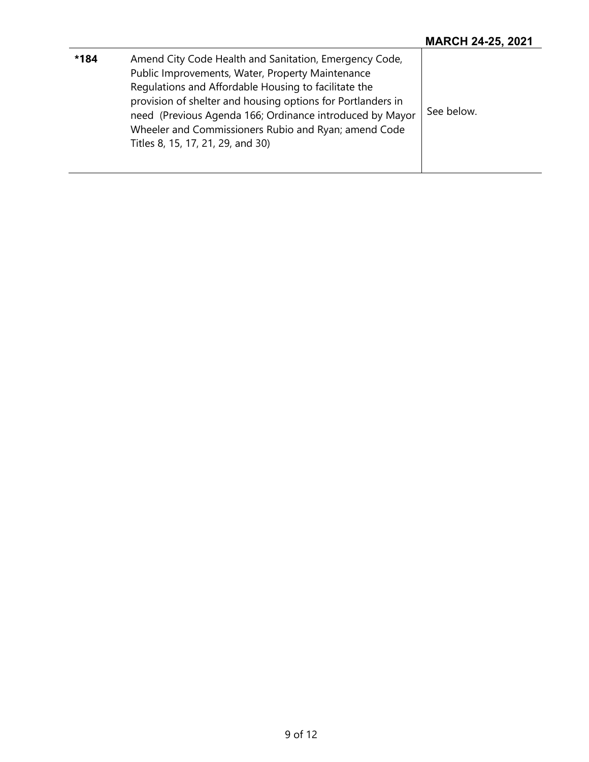| *184 | Amend City Code Health and Sanitation, Emergency Code,<br>Public Improvements, Water, Property Maintenance<br>Regulations and Affordable Housing to facilitate the<br>provision of shelter and housing options for Portlanders in<br>need (Previous Agenda 166; Ordinance introduced by Mayor<br>Wheeler and Commissioners Rubio and Ryan; amend Code<br>Titles 8, 15, 17, 21, 29, and 30) | See below. |
|------|--------------------------------------------------------------------------------------------------------------------------------------------------------------------------------------------------------------------------------------------------------------------------------------------------------------------------------------------------------------------------------------------|------------|
|------|--------------------------------------------------------------------------------------------------------------------------------------------------------------------------------------------------------------------------------------------------------------------------------------------------------------------------------------------------------------------------------------------|------------|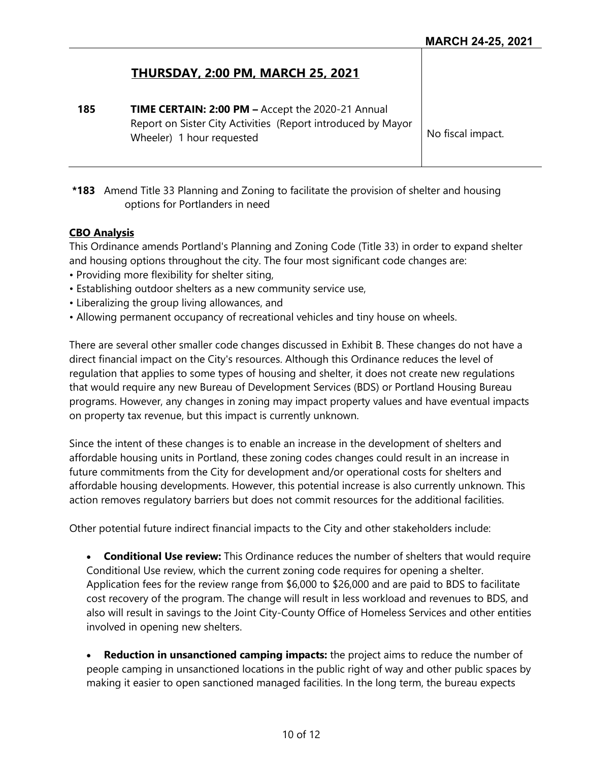## **THURSDAY, 2:00 PM, MARCH 25, 2021**

**185 TIME CERTAIN: 2:00 PM –** Accept the 2020-21 Annual Report on Sister City Activities (Report introduced by Mayor Wheeler) 1 hour requested  $\begin{array}{ccc} \sim & \sim & \sim & \end{array}$  No fiscal impact.

**\*183** Amend Title 33 Planning and Zoning to facilitate the provision of shelter and housing options for Portlanders in need

#### **CBO Analysis**

This Ordinance amends Portland's Planning and Zoning Code (Title 33) in order to expand shelter and housing options throughout the city. The four most significant code changes are:

- Providing more flexibility for shelter siting,
- Establishing outdoor shelters as a new community service use,
- Liberalizing the group living allowances, and
- Allowing permanent occupancy of recreational vehicles and tiny house on wheels.

There are several other smaller code changes discussed in Exhibit B. These changes do not have a direct financial impact on the City's resources. Although this Ordinance reduces the level of regulation that applies to some types of housing and shelter, it does not create new regulations that would require any new Bureau of Development Services (BDS) or Portland Housing Bureau programs. However, any changes in zoning may impact property values and have eventual impacts on property tax revenue, but this impact is currently unknown.

Since the intent of these changes is to enable an increase in the development of shelters and affordable housing units in Portland, these zoning codes changes could result in an increase in future commitments from the City for development and/or operational costs for shelters and affordable housing developments. However, this potential increase is also currently unknown. This action removes regulatory barriers but does not commit resources for the additional facilities.

Other potential future indirect financial impacts to the City and other stakeholders include:

• **Conditional Use review:** This Ordinance reduces the number of shelters that would require Conditional Use review, which the current zoning code requires for opening a shelter. Application fees for the review range from \$6,000 to \$26,000 and are paid to BDS to facilitate cost recovery of the program. The change will result in less workload and revenues to BDS, and also will result in savings to the Joint City-County Office of Homeless Services and other entities involved in opening new shelters.

**Reduction in unsanctioned camping impacts:** the project aims to reduce the number of people camping in unsanctioned locations in the public right of way and other public spaces by making it easier to open sanctioned managed facilities. In the long term, the bureau expects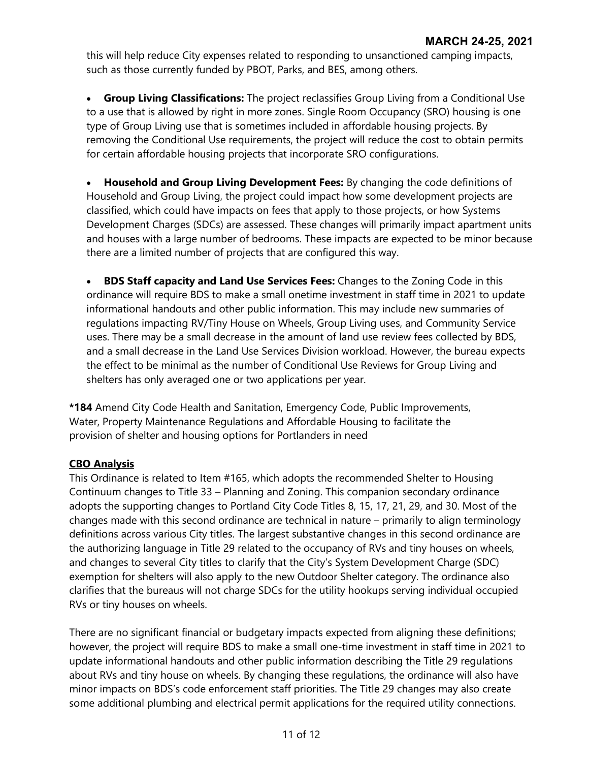this will help reduce City expenses related to responding to unsanctioned camping impacts, such as those currently funded by PBOT, Parks, and BES, among others.

• **Group Living Classifications:** The project reclassifies Group Living from a Conditional Use to a use that is allowed by right in more zones. Single Room Occupancy (SRO) housing is one type of Group Living use that is sometimes included in affordable housing projects. By removing the Conditional Use requirements, the project will reduce the cost to obtain permits for certain affordable housing projects that incorporate SRO configurations.

• **Household and Group Living Development Fees:** By changing the code definitions of Household and Group Living, the project could impact how some development projects are classified, which could have impacts on fees that apply to those projects, or how Systems Development Charges (SDCs) are assessed. These changes will primarily impact apartment units and houses with a large number of bedrooms. These impacts are expected to be minor because there are a limited number of projects that are configured this way.

• **BDS Staff capacity and Land Use Services Fees:** Changes to the Zoning Code in this ordinance will require BDS to make a small onetime investment in staff time in 2021 to update informational handouts and other public information. This may include new summaries of regulations impacting RV/Tiny House on Wheels, Group Living uses, and Community Service uses. There may be a small decrease in the amount of land use review fees collected by BDS, and a small decrease in the Land Use Services Division workload. However, the bureau expects the effect to be minimal as the number of Conditional Use Reviews for Group Living and shelters has only averaged one or two applications per year.

**\*184** Amend City Code Health and Sanitation, Emergency Code, Public Improvements, Water, Property Maintenance Regulations and Affordable Housing to facilitate the provision of shelter and housing options for Portlanders in need

#### **CBO Analysis**

This Ordinance is related to Item #165, which adopts the recommended Shelter to Housing Continuum changes to Title 33 – Planning and Zoning. This companion secondary ordinance adopts the supporting changes to Portland City Code Titles 8, 15, 17, 21, 29, and 30. Most of the changes made with this second ordinance are technical in nature – primarily to align terminology definitions across various City titles. The largest substantive changes in this second ordinance are the authorizing language in Title 29 related to the occupancy of RVs and tiny houses on wheels, and changes to several City titles to clarify that the City's System Development Charge (SDC) exemption for shelters will also apply to the new Outdoor Shelter category. The ordinance also clarifies that the bureaus will not charge SDCs for the utility hookups serving individual occupied RVs or tiny houses on wheels.

There are no significant financial or budgetary impacts expected from aligning these definitions; however, the project will require BDS to make a small one-time investment in staff time in 2021 to update informational handouts and other public information describing the Title 29 regulations about RVs and tiny house on wheels. By changing these regulations, the ordinance will also have minor impacts on BDS's code enforcement staff priorities. The Title 29 changes may also create some additional plumbing and electrical permit applications for the required utility connections.